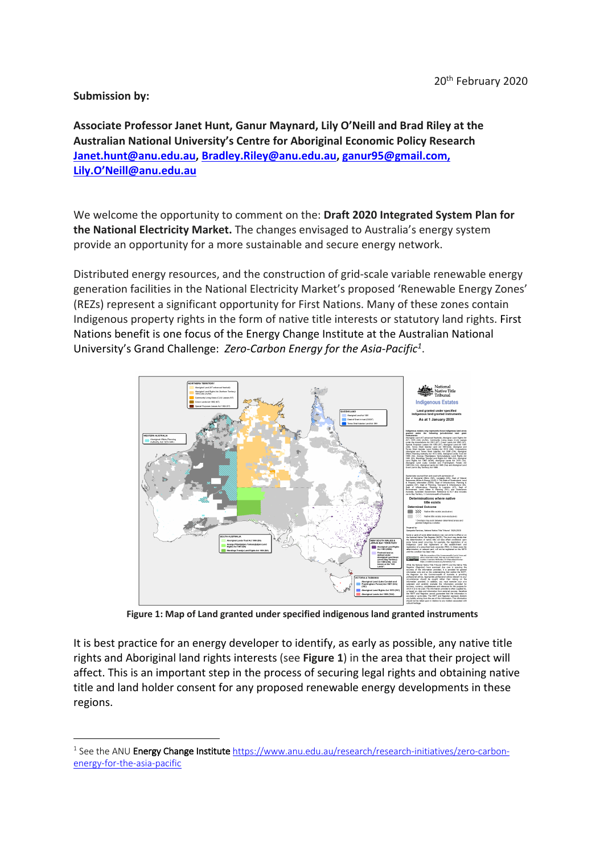## **Submission by:**

**Associate Professor Janet Hunt, Ganur Maynard, Lily O'Neill and Brad Riley at the Australian National University's Centre for Aboriginal Economic Policy Research Janet.hunt@anu.edu.au, Bradley.Riley@anu.edu.au, ganur95@gmail.com, Lily.O'Neill@anu.edu.au**

We welcome the opportunity to comment on the: **Draft 2020 Integrated System Plan for the National Electricity Market.** The changes envisaged to Australia's energy system provide an opportunity for a more sustainable and secure energy network.

Distributed energy resources, and the construction of grid-scale variable renewable energy generation facilities in the National Electricity Market's proposed 'Renewable Energy Zones' (REZs) represent a significant opportunity for First Nations. Many of these zones contain Indigenous property rights in the form of native title interests or statutory land rights. First Nations benefit is one focus of the Energy Change Institute at the Australian National University's Grand Challenge: *Zero-Carbon Energy for the Asia-Pacific1*.



**Figure 1: Map of Land granted under specified indigenous land granted instruments**

It is best practice for an energy developer to identify, as early as possible, any native title rights and Aboriginal land rights interests (see **Figure 1**) in the area that their project will affect. This is an important step in the process of securing legal rights and obtaining native title and land holder consent for any proposed renewable energy developments in these regions.

<sup>&</sup>lt;sup>1</sup> See the ANU Energy Change Institute https://www.anu.edu.au/research/research-initiatives/zero-carbonenergy-for-the-asia-pacific